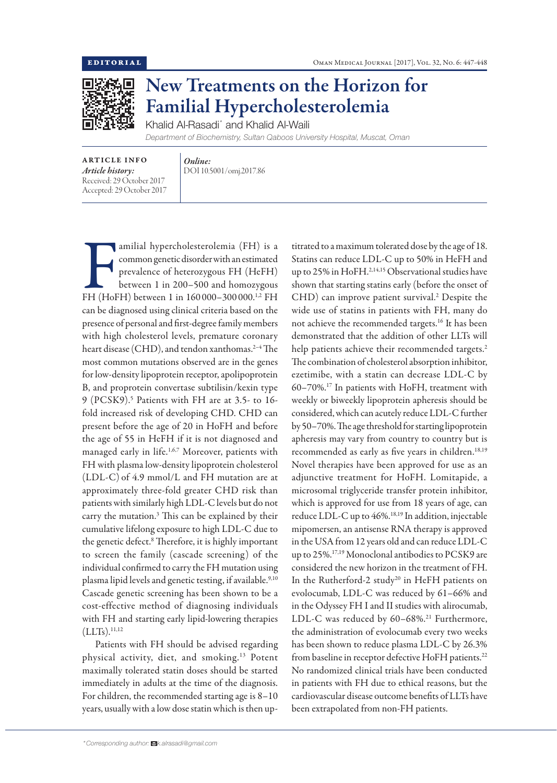

## New Treatments on the Horizon for Familial Hypercholesterolemia

Khalid Al-Rasadi\* and Khalid Al-Waili *Department of Biochemistry, Sultan Qaboos University Hospital, Muscat, Oman*

ARTICLE INFO *Article history:* Received: 29 October 2017 Accepted: 29 October 2017

*Online:* DOI 10.5001/omj.2017.86

amilial hypercholesterolemia (FH) is a<br>common genetic disorder with an estimated<br>prevalence of heterozygous FH (HeFH)<br>between 1 in 200–500 and homozygous<br>FH (HoFH) between 1 in 160 000–300 000.<sup>1,2</sup> FH amilial hypercholesterolemia (FH) is a common genetic disorder with an estimated prevalence of heterozygous FH (HeFH) between 1 in 200–500 and homozygous can be diagnosed using clinical criteria based on the presence of personal and first-degree family members with high cholesterol levels, premature coronary heart disease (CHD), and tendon xanthomas.<sup>2-4</sup> The most common mutations observed are in the genes for low-density lipoprotein receptor, apolipoprotein B, and proprotein convertase subtilisin/kexin type 9 (PCSK9).5 Patients with FH are at 3.5- to 16 fold increased risk of developing CHD. CHD can present before the age of 20 in HoFH and before the age of 55 in HeFH if it is not diagnosed and managed early in life.<sup>1,6,7</sup> Moreover, patients with FH with plasma low-density lipoprotein cholesterol (LDL-C) of 4.9 mmol/L and FH mutation are at approximately three-fold greater CHD risk than patients with similarly high LDL-C levels but do not carry the mutation.3 This can be explained by their cumulative lifelong exposure to high LDL-C due to the genetic defect.<sup>8</sup> Therefore, it is highly important to screen the family (cascade screening) of the individual confirmed to carry the FH mutation using plasma lipid levels and genetic testing, if available.<sup>9,10</sup> Cascade genetic screening has been shown to be a cost-effective method of diagnosing individuals with FH and starting early lipid-lowering therapies  $(LLTs).<sup>11,12</sup>$ 

Patients with FH should be advised regarding physical activity, diet, and smoking.13 Potent maximally tolerated statin doses should be started immediately in adults at the time of the diagnosis. For children, the recommended starting age is 8–10 years, usually with a low dose statin which is then uptitrated to a maximum tolerated dose by the age of 18. Statins can reduce LDL-C up to 50% in HeFH and up to 25% in HoFH.<sup>2,14,15</sup> Observational studies have shown that starting statins early (before the onset of CHD) can improve patient survival.<sup>2</sup> Despite the wide use of statins in patients with FH, many do not achieve the recommended targets.16 It has been demonstrated that the addition of other LLTs will help patients achieve their recommended targets.<sup>2</sup> The combination of cholesterol absorption inhibitor, ezetimibe, with a statin can decrease LDL-C by 60–70%.17 In patients with HoFH, treatment with weekly or biweekly lipoprotein apheresis should be considered, which can acutely reduce LDL-C further by 50–70%. The age threshold for starting lipoprotein apheresis may vary from country to country but is recommended as early as five years in children.<sup>18,19</sup> Novel therapies have been approved for use as an adjunctive treatment for HoFH. Lomitapide, a microsomal triglyceride transfer protein inhibitor, which is approved for use from 18 years of age, can reduce LDL-C up to 46%.18,19 In addition, injectable mipomersen, an antisense RNA therapy is approved in the USA from 12 years old and can reduce LDL-C up to 25%.17,19 Monoclonal antibodies to PCSK9 are considered the new horizon in the treatment of FH. In the Rutherford-2 study<sup>20</sup> in HeFH patients on evolocumab, LDL-C was reduced by 61–66% and in the Odyssey FH I and II studies with alirocumab, LDL-C was reduced by  $60-68\%$ .<sup>21</sup> Furthermore, the administration of evolocumab every two weeks has been shown to reduce plasma LDL-C by 26.3% from baseline in receptor defective HoFH patients.<sup>22</sup> No randomized clinical trials have been conducted in patients with FH due to ethical reasons, but the cardiovascular disease outcome benefits of LLTs have been extrapolated from non-FH patients.